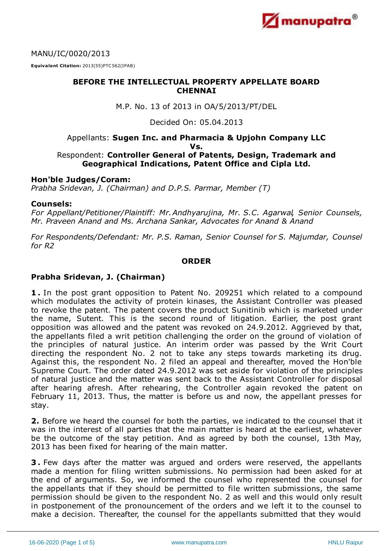

MANU/IC/0020/2013

**Equivalent Citation:** 2013(55)PTC562(IPAB)

# **BEFORE THE INTELLECTUAL PROPERTY APPELLATE BOARD CHENNAI**

M.P. No. 13 of 2013 in OA/5/2013/PT/DEL

Decided On: 05.04.2013

#### Appellants: **Sugen Inc. and Pharmacia & Upjohn Company LLC Vs.**

## Respondent: **Controller General of Patents, Design, Trademark and Geographical Indications, Patent Office and Cipla Ltd.**

## **Hon'ble Judges/Coram:**

*Prabha Sridevan, J. (Chairman) and D.P.S. Parmar, Member (T)*

#### **Counsels:**

*For Appellant/Petitioner/Plaintiff: Mr.Andhyarujina, Mr. S.C. Agarwal, Senior Counsels, Mr. Praveen Anand and Ms. Archana Sankar, Advocates for Anand & Anand*

*For Respondents/Defendant: Mr. P.S. Raman, Senior Counsel for S. Majumdar, Counsel for R2*

### **ORDER**

## **Prabha Sridevan, J. (Chairman)**

**1 .** In the post grant opposition to Patent No. 209251 which related to a compound which modulates the activity of protein kinases, the Assistant Controller was pleased to revoke the patent. The patent covers the product Sunitinib which is marketed under the name, Sutent. This is the second round of litigation. Earlier, the post grant opposition was allowed and the patent was revoked on 24.9.2012. Aggrieved by that, the appellants filed a writ petition challenging the order on the ground of violation of the principles of natural justice. An interim order was passed by the Writ Court directing the respondent No. 2 not to take any steps towards marketing its drug. Against this, the respondent No. 2 filed an appeal and thereafter, moved the Hon'ble Supreme Court. The order dated 24.9.2012 was set aside for violation of the principles of natural justice and the matter was sent back to the Assistant Controller for disposal after hearing afresh. After rehearing, the Controller again revoked the patent on February 11, 2013. Thus, the matter is before us and now, the appellant presses for stay.

**2.** Before we heard the counsel for both the parties, we indicated to the counsel that it was in the interest of all parties that the main matter is heard at the earliest, whatever be the outcome of the stay petition. And as agreed by both the counsel, 13th May, 2013 has been fixed for hearing of the main matter.

**3 .** Few days after the matter was argued and orders were reserved, the appellants made a mention for filing written submissions. No permission had been asked for at the end of arguments. So, we informed the counsel who represented the counsel for the appellants that if they should be permitted to file written submissions, the same permission should be given to the respondent No. 2 as well and this would only result in postponement of the pronouncement of the orders and we left it to the counsel to make a decision. Thereafter, the counsel for the appellants submitted that they would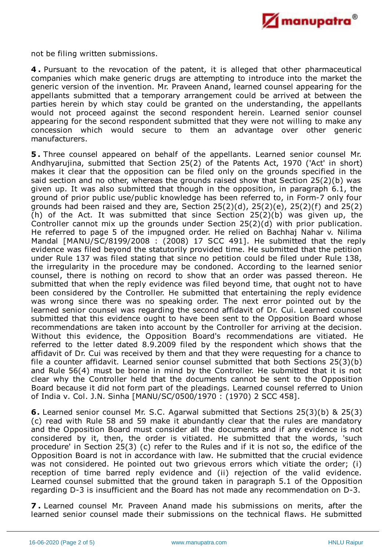

not be filing written submissions.

**4 .** Pursuant to the revocation of the patent, it is alleged that other pharmaceutical companies which make generic drugs are attempting to introduce into the market the generic version of the invention. Mr. Praveen Anand, learned counsel appearing for the appellants submitted that a temporary arrangement could be arrived at between the parties herein by which stay could be granted on the understanding, the appellants would not proceed against the second respondent herein. Learned senior counsel appearing for the second respondent submitted that they were not willing to make any concession which would secure to them an advantage over other generic manufacturers.

**5 .** Three counsel appeared on behalf of the appellants. Learned senior counsel Mr. Andhyarujina, submitted that Section 25(2) of the Patents Act, 1970 ('Act' in short) makes it clear that the opposition can be filed only on the grounds specified in the said section and no other, whereas the grounds raised show that Section 25(2)(b) was given up. It was also submitted that though in the opposition, in paragraph 6.1, the ground of prior public use/public knowledge has been referred to, in Form-7 only four grounds had been raised and they are, Section  $25(2)(d)$ ,  $25(2)(e)$ ,  $25(2)(f)$  and  $25(2)$ (h) of the Act. It was submitted that since Section 25(2)(b) was given up, the Controller cannot mix up the grounds under Section 25(2)(d) with prior publication. He referred to page 5 of the impugned order. He relied on Bachhaj Nahar v. Nilima Mandal [MANU/SC/8199/2008 : (2008) 17 SCC 491]. He submitted that the reply evidence was filed beyond the statutorily provided time. He submitted that the petition under Rule 137 was filed stating that since no petition could be filed under Rule 138, the irregularity in the procedure may be condoned. According to the learned senior counsel, there is nothing on record to show that an order was passed thereon. He submitted that when the reply evidence was filed beyond time, that ought not to have been considered by the Controller. He submitted that entertaining the reply evidence was wrong since there was no speaking order. The next error pointed out by the learned senior counsel was regarding the second affidavit of Dr. Cui. Learned counsel submitted that this evidence ought to have been sent to the Opposition Board whose recommendations are taken into account by the Controller for arriving at the decision. Without this evidence, the Opposition Board's recommendations are vitiated. He referred to the letter dated 8.9.2009 filed by the respondent which shows that the affidavit of Dr. Cui was received by them and that they were requesting for a chance to file a counter affidavit. Learned senior counsel submitted that both Sections 25(3)(b) and Rule 56(4) must be borne in mind by the Controller. He submitted that it is not clear why the Controller held that the documents cannot be sent to the Opposition Board because it did not form part of the pleadings. Learned counsel referred to Union of India v. Col. J.N. Sinha [MANU/SC/0500/1970 : (1970) 2 SCC 458].

**6.** Learned senior counsel Mr. S.C. Agarwal submitted that Sections 25(3)(b) & 25(3) (c) read with Rule 58 and 59 make it abundantly clear that the rules are mandatory and the Opposition Board must consider all the documents and if any evidence is not considered by it, then, the order is vitiated. He submitted that the words, 'such procedure' in Section 25(3) (c) refer to the Rules and if it is not so, the edifice of the Opposition Board is not in accordance with law. He submitted that the crucial evidence was not considered. He pointed out two grievous errors which vitiate the order; (i) reception of time barred reply evidence and (ii) rejection of the valid evidence. Learned counsel submitted that the ground taken in paragraph 5.1 of the Opposition regarding D-3 is insufficient and the Board has not made any recommendation on D-3.

**7 .** Learned counsel Mr. Praveen Anand made his submissions on merits, after the learned senior counsel made their submissions on the technical flaws. He submitted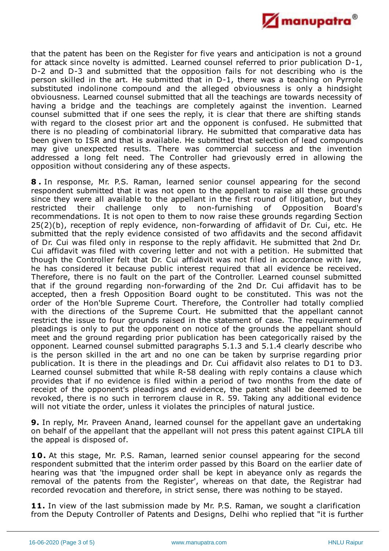

that the patent has been on the Register for five years and anticipation is not a ground for attack since novelty is admitted. Learned counsel referred to prior publication D-1, D-2 and D-3 and submitted that the opposition fails for not describing who is the person skilled in the art. He submitted that in D-1, there was a teaching on Pyrrole substituted indolinone compound and the alleged obviousness is only a hindsight obviousness. Learned counsel submitted that all the teachings are towards necessity of having a bridge and the teachings are completely against the invention. Learned counsel submitted that if one sees the reply, it is clear that there are shifting stands with regard to the closest prior art and the opponent is confused. He submitted that there is no pleading of combinatorial library. He submitted that comparative data has been given to ISR and that is available. He submitted that selection of lead compounds may give unexpected results. There was commercial success and the invention addressed a long felt need. The Controller had grievously erred in allowing the opposition without considering any of these aspects.

**8 .** In response, Mr. P.S. Raman, learned senior counsel appearing for the second respondent submitted that it was not open to the appellant to raise all these grounds since they were all available to the appellant in the first round of litigation, but they restricted their challenge only to non-furnishing of Opposition Board's recommendations. It is not open to them to now raise these grounds regarding Section 25(2)(b), reception of reply evidence, non-forwarding of affidavit of Dr. Cui, etc. He submitted that the reply evidence consisted of two affidavits and the second affidavit of Dr. Cui was filed only in response to the reply affidavit. He submitted that 2nd Dr. Cui affidavit was filed with covering letter and not with a petition. He submitted that though the Controller felt that Dr. Cui affidavit was not filed in accordance with law, he has considered it because public interest required that all evidence be received. Therefore, there is no fault on the part of the Controller. Learned counsel submitted that if the ground regarding non-forwarding of the 2nd Dr. Cui affidavit has to be accepted, then a fresh Opposition Board ought to be constituted. This was not the order of the Hon'ble Supreme Court. Therefore, the Controller had totally complied with the directions of the Supreme Court. He submitted that the appellant cannot restrict the issue to four grounds raised in the statement of case. The requirement of pleadings is only to put the opponent on notice of the grounds the appellant should meet and the ground regarding prior publication has been categorically raised by the opponent. Learned counsel submitted paragraphs 5.1.3 and 5.1.4 clearly describe who is the person skilled in the art and no one can be taken by surprise regarding prior publication. It is there in the pleadings and Dr. Cui affidavit also relates to D1 to D3. Learned counsel submitted that while R-58 dealing with reply contains a clause which provides that if no evidence is filed within a period of two months from the date of receipt of the opponent's pleadings and evidence, the patent shall be deemed to be revoked, there is no such in terrorem clause in R. 59. Taking any additional evidence will not vitiate the order, unless it violates the principles of natural justice.

**9.** In reply, Mr. Praveen Anand, learned counsel for the appellant gave an undertaking on behalf of the appellant that the appellant will not press this patent against CIPLA till the appeal is disposed of.

**10.** At this stage, Mr. P.S. Raman, learned senior counsel appearing for the second respondent submitted that the interim order passed by this Board on the earlier date of hearing was that 'the impugned order shall be kept in abeyance only as regards the removal of the patents from the Register', whereas on that date, the Registrar had recorded revocation and therefore, in strict sense, there was nothing to be stayed.

11. In view of the last submission made by Mr. P.S. Raman, we sought a clarification from the Deputy Controller of Patents and Designs, Delhi who replied that "it is further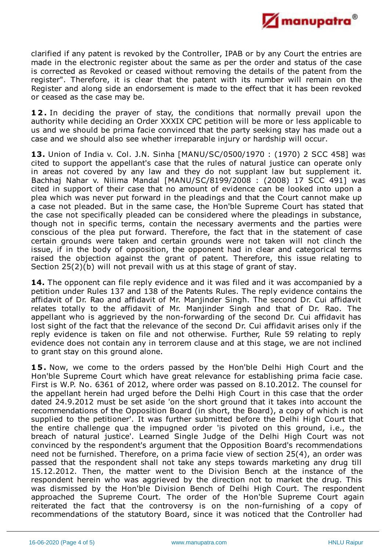

clarified if any patent is revoked by the Controller, IPAB or by any Court the entries are made in the electronic register about the same as per the order and status of the case is corrected as Revoked or ceased without removing the details of the patent from the register". Therefore, it is clear that the patent with its number will remain on the Register and along side an endorsement is made to the effect that it has been revoked or ceased as the case may be.

**12.** In deciding the prayer of stay, the conditions that normally prevail upon the authority while deciding an Order XXXIX CPC petition will be more or less applicable to us and we should be prima facie convinced that the party seeking stay has made out a case and we should also see whether irreparable injury or hardship will occur.

**13.** Union of India v. Col. J.N. Sinha [MANU/SC/0500/1970 : (1970) 2 SCC 458] was cited to support the appellant's case that the rules of natural justice can operate only in areas not covered by any law and they do not supplant law but supplement it. Bachhaj Nahar v. Nilima Mandal [MANU/SC/8199/2008 : (2008) 17 SCC 491] was cited in support of their case that no amount of evidence can be looked into upon a plea which was never put forward in the pleadings and that the Court cannot make up a case not pleaded. But in the same case, the Hon'ble Supreme Court has stated that the case not specifically pleaded can be considered where the pleadings in substance, though not in specific terms, contain the necessary averments and the parties were conscious of the plea put forward. Therefore, the fact that in the statement of case certain grounds were taken and certain grounds were not taken will not clinch the issue, if in the body of opposition, the opponent had in clear and categorical terms raised the objection against the grant of patent. Therefore, this issue relating to Section 25(2)(b) will not prevail with us at this stage of grant of stay.

14. The opponent can file reply evidence and it was filed and it was accompanied by a petition under Rules 137 and 138 of the Patents Rules. The reply evidence contains the affidavit of Dr. Rao and affidavit of Mr. Manjinder Singh. The second Dr. Cui affidavit relates totally to the affidavit of Mr. Manjinder Singh and that of Dr. Rao. The appellant who is aggrieved by the non-forwarding of the second Dr. Cui affidavit has lost sight of the fact that the relevance of the second Dr. Cui affidavit arises only if the reply evidence is taken on file and not otherwise. Further, Rule 59 relating to reply evidence does not contain any in terrorem clause and at this stage, we are not inclined to grant stay on this ground alone.

**15.** Now, we come to the orders passed by the Hon'ble Delhi High Court and the Hon'ble Supreme Court which have great relevance for establishing prima facie case. First is W.P. No. 6361 of 2012, where order was passed on 8.10.2012. The counsel for the appellant herein had urged before the Delhi High Court in this case that the order dated 24.9.2012 must be set aside 'on the short ground that it takes into account the recommendations of the Opposition Board (in short, the Board), a copy of which is not supplied to the petitioner'. It was further submitted before the Delhi High Court that the entire challenge qua the impugned order 'is pivoted on this ground, i.e., the breach of natural justice'. Learned Single Judge of the Delhi High Court was not convinced by the respondent's argument that the Opposition Board's recommendations need not be furnished. Therefore, on a prima facie view of section 25(4), an order was passed that the respondent shall not take any steps towards marketing any drug till 15.12.2012. Then, the matter went to the Division Bench at the instance of the respondent herein who was aggrieved by the direction not to market the drug. This was dismissed by the Hon'ble Division Bench of Delhi High Court. The respondent approached the Supreme Court. The order of the Hon'ble Supreme Court again reiterated the fact that the controversy is on the non-furnishing of a copy of recommendations of the statutory Board, since it was noticed that the Controller had